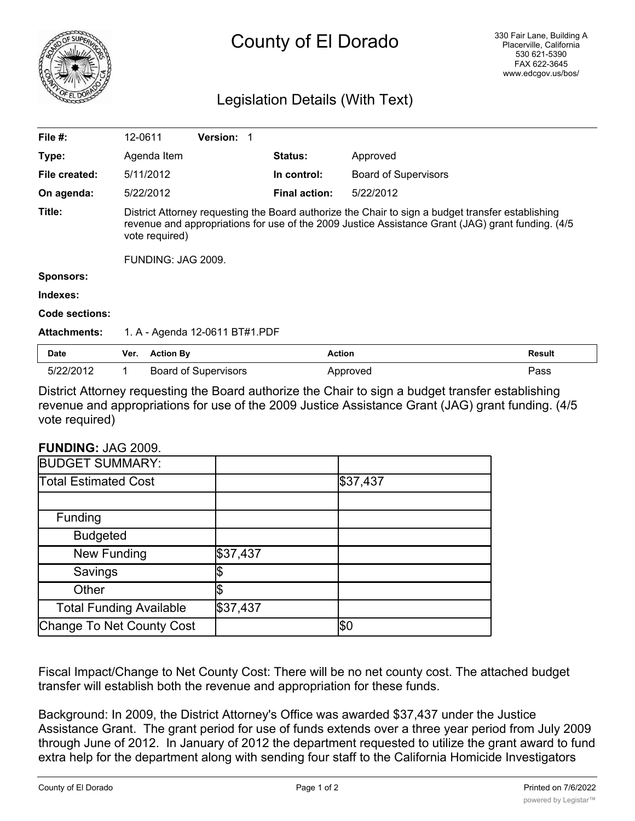

## County of El Dorado

## Legislation Details (With Text)

| File $#$ :          | 12-0611                                                                                                                                                                                                                  | <b>Version: 1</b>           |                      |                             |               |  |
|---------------------|--------------------------------------------------------------------------------------------------------------------------------------------------------------------------------------------------------------------------|-----------------------------|----------------------|-----------------------------|---------------|--|
| Type:               | Agenda Item                                                                                                                                                                                                              |                             | <b>Status:</b>       | Approved                    |               |  |
| File created:       | 5/11/2012                                                                                                                                                                                                                |                             | In control:          | <b>Board of Supervisors</b> |               |  |
| On agenda:          | 5/22/2012                                                                                                                                                                                                                |                             | <b>Final action:</b> | 5/22/2012                   |               |  |
| Title:              | District Attorney requesting the Board authorize the Chair to sign a budget transfer establishing<br>revenue and appropriations for use of the 2009 Justice Assistance Grant (JAG) grant funding. (4/5<br>vote required) |                             |                      |                             |               |  |
|                     | FUNDING: JAG 2009.                                                                                                                                                                                                       |                             |                      |                             |               |  |
| <b>Sponsors:</b>    |                                                                                                                                                                                                                          |                             |                      |                             |               |  |
| Indexes:            |                                                                                                                                                                                                                          |                             |                      |                             |               |  |
| Code sections:      |                                                                                                                                                                                                                          |                             |                      |                             |               |  |
| <b>Attachments:</b> | 1. A - Agenda 12-0611 BT#1.PDF                                                                                                                                                                                           |                             |                      |                             |               |  |
| <b>Date</b>         | Ver.                                                                                                                                                                                                                     | <b>Action By</b>            | <b>Action</b>        |                             | <b>Result</b> |  |
| 5/22/2012           |                                                                                                                                                                                                                          | <b>Board of Supervisors</b> |                      | Approved                    | Pass          |  |

District Attorney requesting the Board authorize the Chair to sign a budget transfer establishing revenue and appropriations for use of the 2009 Justice Assistance Grant (JAG) grant funding. (4/5 vote required)

## **FUNDING:** JAG 2009.

|          | \$37,437   |
|----------|------------|
|          |            |
|          |            |
|          |            |
| \$37,437 |            |
|          |            |
|          |            |
| \$37,437 |            |
|          | <b>\$Ο</b> |
|          |            |

Fiscal Impact/Change to Net County Cost: There will be no net county cost. The attached budget transfer will establish both the revenue and appropriation for these funds.

Background: In 2009, the District Attorney's Office was awarded \$37,437 under the Justice Assistance Grant. The grant period for use of funds extends over a three year period from July 2009 through June of 2012. In January of 2012 the department requested to utilize the grant award to fund extra help for the department along with sending four staff to the California Homicide Investigators